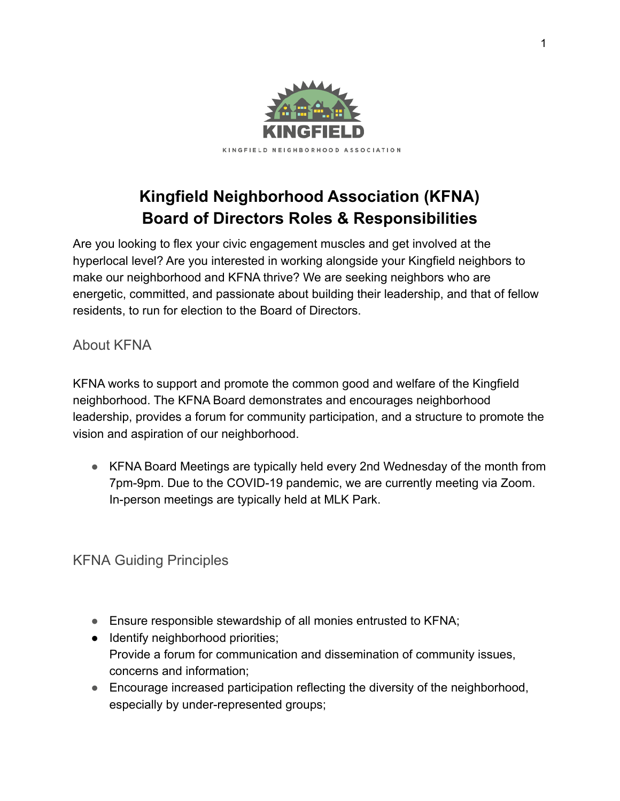

# **Kingfield Neighborhood Association (KFNA) Board of Directors Roles & Responsibilities**

Are you looking to flex your civic engagement muscles and get involved at the hyperlocal level? Are you interested in working alongside your Kingfield neighbors to make our neighborhood and KFNA thrive? We are seeking neighbors who are energetic, committed, and passionate about building their leadership, and that of fellow residents, to run for election to the Board of Directors.

## About KFNA

KFNA works to support and promote the common good and welfare of the Kingfield neighborhood. The KFNA Board demonstrates and encourages neighborhood leadership, provides a forum for community participation, and a structure to promote the vision and aspiration of our neighborhood.

● KFNA Board Meetings are typically held every 2nd Wednesday of the month from 7pm-9pm. Due to the COVID-19 pandemic, we are currently meeting via Zoom. In-person meetings are typically held at MLK Park.

# KFNA Guiding Principles

- Ensure responsible stewardship of all monies entrusted to KFNA;
- Identify neighborhood priorities; Provide a forum for communication and dissemination of community issues, concerns and information;
- Encourage increased participation reflecting the diversity of the neighborhood, especially by under-represented groups;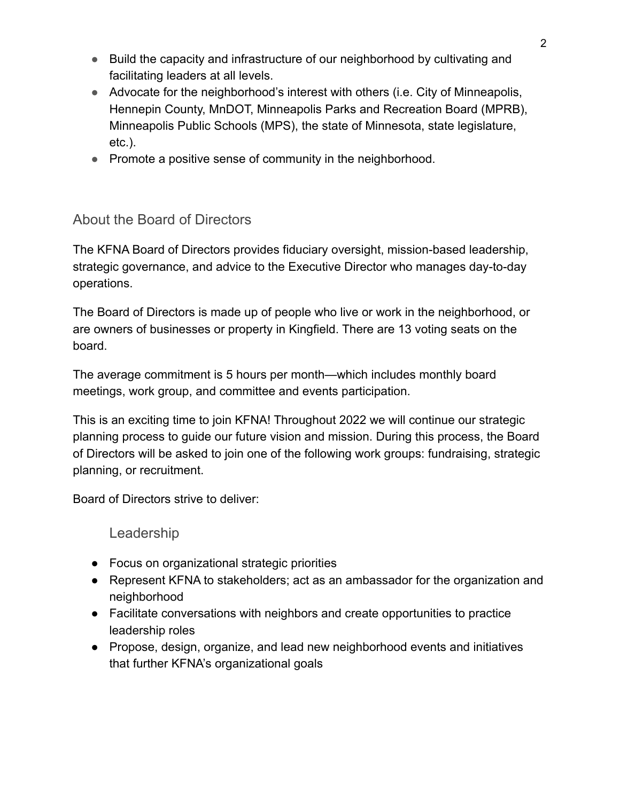- Build the capacity and infrastructure of our neighborhood by cultivating and facilitating leaders at all levels.
- Advocate for the neighborhood's interest with others (i.e. City of Minneapolis, Hennepin County, MnDOT, Minneapolis Parks and Recreation Board (MPRB), Minneapolis Public Schools (MPS), the state of Minnesota, state legislature, etc.).
- Promote a positive sense of community in the neighborhood.

### About the Board of Directors

The KFNA Board of Directors provides fiduciary oversight, mission-based leadership, strategic governance, and advice to the Executive Director who manages day-to-day operations.

The Board of Directors is made up of people who live or work in the neighborhood, or are owners of businesses or property in Kingfield. There are 13 voting seats on the board.

The average commitment is 5 hours per month—which includes monthly board meetings, work group, and committee and events participation.

This is an exciting time to join KFNA! Throughout 2022 we will continue our strategic planning process to guide our future vision and mission. During this process, the Board of Directors will be asked to join one of the following work groups: fundraising, strategic planning, or recruitment.

Board of Directors strive to deliver:

Leadership

- Focus on organizational strategic priorities
- Represent KFNA to stakeholders; act as an ambassador for the organization and neighborhood
- Facilitate conversations with neighbors and create opportunities to practice leadership roles
- Propose, design, organize, and lead new neighborhood events and initiatives that further KFNA's organizational goals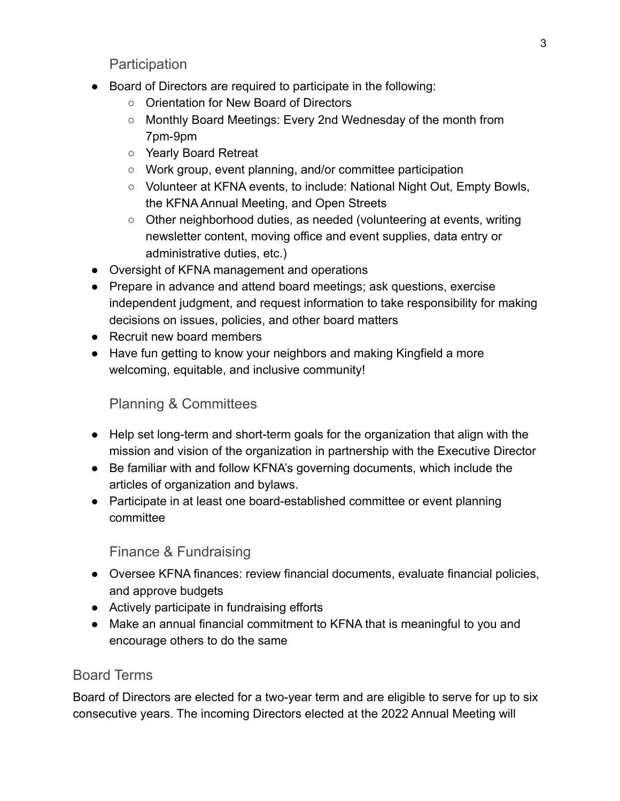**Participation** 

- Board of Directors are required to participate in the following:
	- Orientation for New Board of Directors
	- Monthly Board Meetings: Every 2nd Wednesday of the month from 7pm-9pm
	- Yearly Board Retreat
	- Work group, event planning, and/or committee participation
	- Volunteer at KFNA events, to include: National Night Out, Empty Bowls, the KFNA Annual Meeting, and Open Streets
	- Other neighborhood duties, as needed (volunteering at events, writing newsletter content, moving office and event supplies, data entry or administrative duties, etc.)
- Oversight of KFNA management and operations
- Prepare in advance and attend board meetings; ask questions, exercise independent judgment, and request information to take responsibility for making decisions on issues, policies, and other board matters
- Recruit new board members
- Have fun getting to know your neighbors and making Kingfield a more welcoming, equitable, and inclusive community!

## Planning & Committees

- Help set long-term and short-term goals for the organization that align with the mission and vision of the organization in partnership with the Executive Director
- Be familiar with and follow KFNA's governing documents, which include the articles of organization and bylaws.
- Participate in at least one board-established committee or event planning committee

### Finance & Fundraising

- Oversee KFNA finances: review financial documents, evaluate financial policies, and approve budgets
- Actively participate in fundraising efforts
- Make an annual financial commitment to KFNA that is meaningful to you and encourage others to do the same

### Board Terms

Board of Directors are elected for a two-year term and are eligible to serve for up to six consecutive years. The incoming Directors elected at the 2022 Annual Meeting will